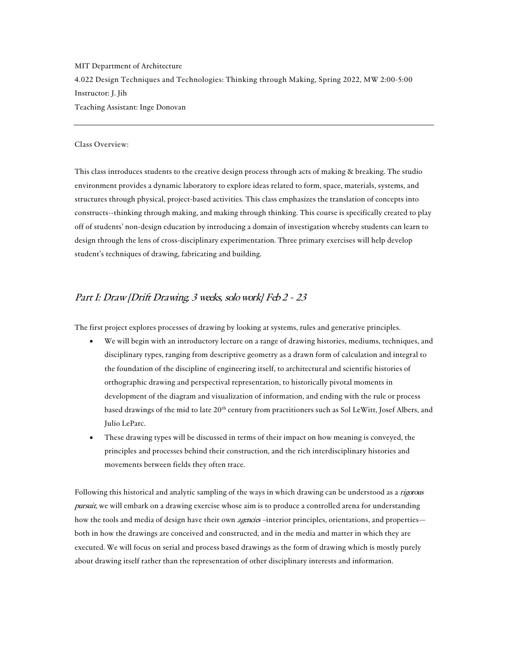MIT Department of Architecture 4.022 Design Techniques and Technologies: Thinking through Making, Spring 2022, MW 2:00-5:00 Instructor: J. Jih Teaching Assistant: Inge Donovan

#### Class Overview:

This class introduces students to the creative design process through acts of making & breaking. The studio environment provides a dynamic laboratory to explore ideas related to form, space, materials, systems, and structures through physical, project-based activities. This class emphasizes the translation of concepts into constructs--thinking through making, and making through thinking. This course is specifically created to play off of students' non-design education by introducing a domain of investigation whereby students can learn to design through the lens of cross-disciplinary experimentation. Three primary exercises will help develop student's techniques of drawing, fabricating and building.

# Part I: Draw [Drift Drawing, 3 weeks, solo work] Feb 2 - 23

The first project explores processes of drawing by looking at systems, rules and generative principles.

- We will begin with an introductory lecture on a range of drawing histories, mediums, techniques, and disciplinary types, ranging from descriptive geometry as a drawn form of calculation and integral to the foundation of the discipline of engineering itself, to architectural and scientific histories of orthographic drawing and perspectival representation, to historically pivotal moments in development of the diagram and visualization of information, and ending with the rule or process based drawings of the mid to late 20<sup>th</sup> century from practitioners such as Sol LeWitt, Josef Albers, and Julio LeParc.
- These drawing types will be discussed in terms of their impact on how meaning is conveyed, the principles and processes behind their construction, and the rich interdisciplinary histories and movements between fields they often trace.

Following this historical and analytic sampling of the ways in which drawing can be understood as a rigorous pursuit, we will embark on a drawing exercise whose aim is to produce a controlled arena for understanding how the tools and media of design have their own *agencies* –interior principles, orientations, and properties both in how the drawings are conceived and constructed, and in the media and matter in which they are executed. We will focus on serial and process based drawings as the form of drawing which is mostly purely about drawing itself rather than the representation of other disciplinary interests and information.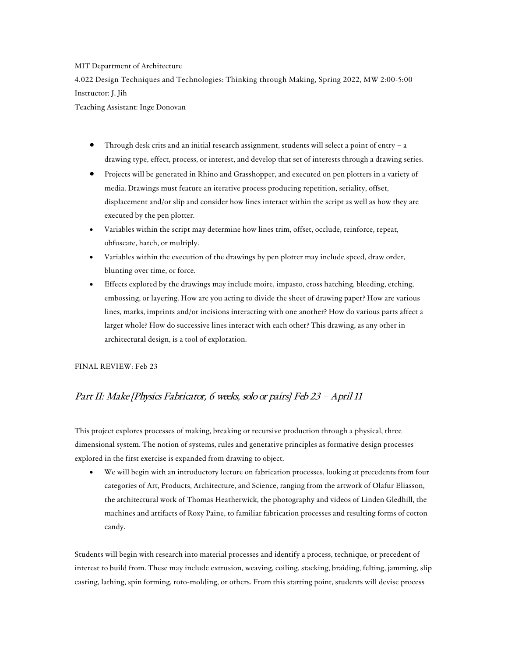## MIT Department of Architecture

4.022 Design Techniques and Technologies: Thinking through Making, Spring 2022, MW 2:00-5:00 Instructor: J. Jih

Teaching Assistant: Inge Donovan

- Through desk crits and an initial research assignment, students will select a point of entry a drawing type, effect, process, or interest, and develop that set of interests through a drawing series.
- Projects will be generated in Rhino and Grasshopper, and executed on pen plotters in a variety of media. Drawings must feature an iterative process producing repetition, seriality, offset, displacement and/or slip and consider how lines interact within the script as well as how they are executed by the pen plotter.
- Variables within the script may determine how lines trim, offset, occlude, reinforce, repeat, obfuscate, hatch, or multiply.
- Variables within the execution of the drawings by pen plotter may include speed, draw order, blunting over time, or force.
- Effects explored by the drawings may include moire, impasto, cross hatching, bleeding, etching, embossing, or layering. How are you acting to divide the sheet of drawing paper? How are various lines, marks, imprints and/or incisions interacting with one another? How do various parts affect a larger whole? How do successive lines interact with each other? This drawing, as any other in architectural design, is a tool of exploration.

## FINAL REVIEW: Feb 23

# Part II: Make [Physics Fabricator, 6 weeks, solo or pairs] Feb 23 – April 11

This project explores processes of making, breaking or recursive production through a physical, three dimensional system. The notion of systems, rules and generative principles as formative design processes explored in the first exercise is expanded from drawing to object.

• We will begin with an introductory lecture on fabrication processes, looking at precedents from four categories of Art, Products, Architecture, and Science, ranging from the artwork of Olafur Eliasson, the architectural work of Thomas Heatherwick, the photography and videos of Linden Gledhill, the machines and artifacts of Roxy Paine, to familiar fabrication processes and resulting forms of cotton candy.

Students will begin with research into material processes and identify a process, technique, or precedent of interest to build from. These may include extrusion, weaving, coiling, stacking, braiding, felting, jamming, slip casting, lathing, spin forming, roto-molding, or others. From this starting point, students will devise process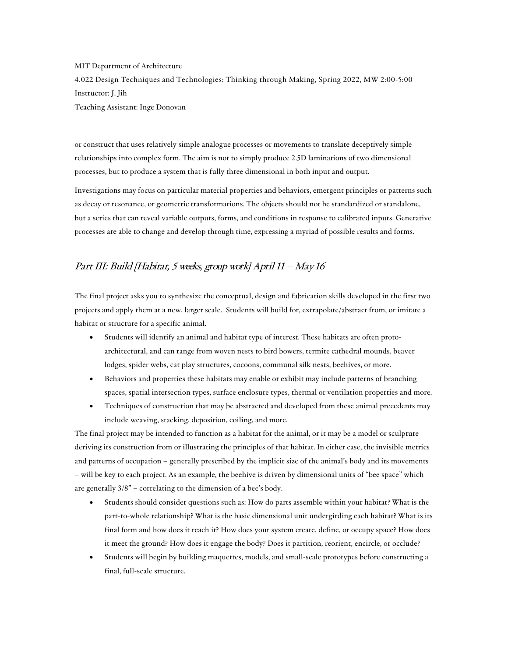MIT Department of Architecture 4.022 Design Techniques and Technologies: Thinking through Making, Spring 2022, MW 2:00-5:00 Instructor: J. Jih Teaching Assistant: Inge Donovan

or construct that uses relatively simple analogue processes or movements to translate deceptively simple relationships into complex form. The aim is not to simply produce 2.5D laminations of two dimensional processes, but to produce a system that is fully three dimensional in both input and output.

Investigations may focus on particular material properties and behaviors, emergent principles or patterns such as decay or resonance, or geometric transformations. The objects should not be standardized or standalone, but a series that can reveal variable outputs, forms, and conditions in response to calibrated inputs. Generative processes are able to change and develop through time, expressing a myriad of possible results and forms.

# Part III: Build [Habitat, 5 weeks, group work] April 11 – May 16

The final project asks you to synthesize the conceptual, design and fabrication skills developed in the first two projects and apply them at a new, larger scale. Students will build for, extrapolate/abstract from, or imitate a habitat or structure for a specific animal.

- Students will identify an animal and habitat type of interest. These habitats are often protoarchitectural, and can range from woven nests to bird bowers, termite cathedral mounds, beaver lodges, spider webs, cat play structures, cocoons, communal silk nests, beehives, or more.
- Behaviors and properties these habitats may enable or exhibit may include patterns of branching spaces, spatial intersection types, surface enclosure types, thermal or ventilation properties and more.
- Techniques of construction that may be abstracted and developed from these animal precedents may include weaving, stacking, deposition, coiling, and more.

The final project may be intended to function as a habitat for the animal, or it may be a model or sculpture deriving its construction from or illustrating the principles of that habitat. In either case, the invisible metrics and patterns of occupation – generally prescribed by the implicit size of the animal's body and its movements – will be key to each project. As an example, the beehive is driven by dimensional units of "bee space" which are generally 3/8" – correlating to the dimension of a bee's body.

- Students should consider questions such as: How do parts assemble within your habitat? What is the part-to-whole relationship? What is the basic dimensional unit undergirding each habitat? What is its final form and how does it reach it? How does your system create, define, or occupy space? How does it meet the ground? How does it engage the body? Does it partition, reorient, encircle, or occlude?
- Students will begin by building maquettes, models, and small-scale prototypes before constructing a final, full-scale structure.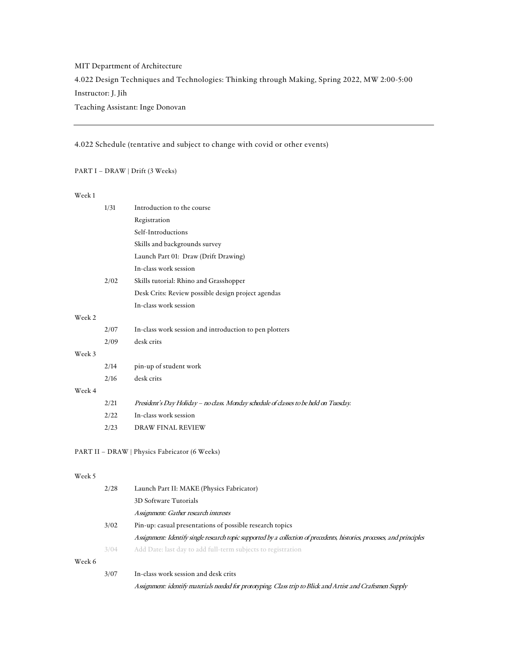# MIT Department of Architecture 4.022 Design Techniques and Technologies: Thinking through Making, Spring 2022, MW 2:00-5:00 Instructor: J. Jih Teaching Assistant: Inge Donovan

## 4.022 Schedule (tentative and subject to change with covid or other events)

## PART I – DRAW | Drift (3 Weeks)

#### Week 1

|        | 1/31 | Introduction to the course                                                            |  |  |
|--------|------|---------------------------------------------------------------------------------------|--|--|
|        |      | Registration                                                                          |  |  |
|        |      | Self-Introductions                                                                    |  |  |
|        |      | Skills and backgrounds survey                                                         |  |  |
|        |      | Launch Part 01: Draw (Drift Drawing)                                                  |  |  |
|        |      | In-class work session                                                                 |  |  |
|        | 2/02 | Skills tutorial: Rhino and Grasshopper                                                |  |  |
|        |      | Desk Crits: Review possible design project agendas                                    |  |  |
|        |      | In-class work session                                                                 |  |  |
| Week 2 |      |                                                                                       |  |  |
|        | 2/07 | In-class work session and introduction to pen plotters                                |  |  |
|        | 2/09 | desk crits                                                                            |  |  |
| Week 3 |      |                                                                                       |  |  |
|        | 2/14 | pin-up of student work                                                                |  |  |
|        | 2/16 | desk crits                                                                            |  |  |
| Week 4 |      |                                                                                       |  |  |
|        | 2/21 | President's Day Holiday – no class. Monday schedule of classes to be held on Tuesday. |  |  |
|        | 2/22 | In-class work session                                                                 |  |  |
|        | 2/23 | <b>DRAW FINAL REVIEW</b>                                                              |  |  |
|        |      |                                                                                       |  |  |

## PART II – DRAW | Physics Fabricator (6 Weeks)

#### Week 5

|        | 2/28 | Launch Part II: MAKE (Physics Fabricator)                                                                                |  |
|--------|------|--------------------------------------------------------------------------------------------------------------------------|--|
|        |      | 3D Software Tutorials                                                                                                    |  |
|        |      | Assignment: Gather research interests                                                                                    |  |
|        | 3/02 | Pin-up: casual presentations of possible research topics                                                                 |  |
|        |      | Assignment: Identify single research topic supported by a collection of precedents, histories, processes, and principles |  |
|        | 3/04 | Add Date: last day to add full-term subjects to registration                                                             |  |
| Week 6 |      |                                                                                                                          |  |
|        | 3/07 | In-class work session and desk crits                                                                                     |  |
|        |      | Assignment: identify materials needed for prototyping. Class trip to Blick and Artist and Craftsmen Supply               |  |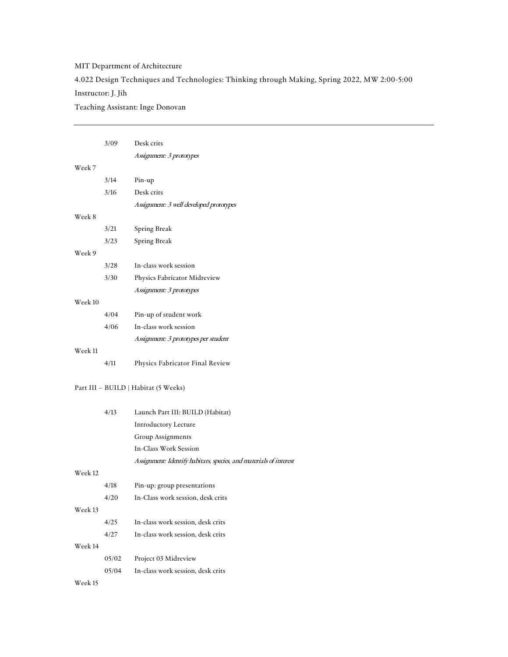# MIT Department of Architecture

4.022 Design Techniques and Technologies: Thinking through Making, Spring 2022, MW 2:00-5:00

## Instructor: J. Jih

Teaching Assistant: Inge Donovan

|         | 3/09  | Desk crits                                                        |
|---------|-------|-------------------------------------------------------------------|
|         |       | Assignment: 3 prototypes                                          |
| Week 7  |       |                                                                   |
|         | 3/14  | Pin-up                                                            |
|         | 3/16  | Desk crits                                                        |
|         |       | Assignment: 3 well developed prototypes                           |
| Week 8  |       |                                                                   |
|         | 3/21  | Spring Break                                                      |
|         | 3/23  | Spring Break                                                      |
| Week 9  |       |                                                                   |
|         | 3/28  | In-class work session                                             |
|         | 3/30  | Physics Fabricator Midreview                                      |
|         |       | Assignment: 3 prototypes                                          |
| Week 10 |       |                                                                   |
|         | 4/04  | Pin-up of student work                                            |
|         | 4/06  | In-class work session                                             |
|         |       | Assignment: 3 prototypes per student                              |
| Week 11 |       |                                                                   |
|         | 4/11  | Physics Fabricator Final Review                                   |
|         |       |                                                                   |
|         |       | Part III - BUILD   Habitat (5 Weeks)                              |
|         |       |                                                                   |
|         | 4/13  | Launch Part III: BUILD (Habitat)                                  |
|         |       | <b>Introductory Lecture</b>                                       |
|         |       | Group Assignments                                                 |
|         |       | In-Class Work Session                                             |
|         |       | Assignment: Identify habitats, species, and materials of interest |
| Week 12 |       |                                                                   |
|         | 4/18  | Pin-up: group presentations                                       |
|         | 4/20  | In-Class work session, desk crits                                 |
| Week 13 |       |                                                                   |
|         | 4/25  | In-class work session, desk crits                                 |
|         | 4/27  | In-class work session, desk crits                                 |
| Week 14 |       |                                                                   |
|         | 05/02 | Project 03 Midreview                                              |
|         | 05/04 | In-class work session, desk crits                                 |
| Week 15 |       |                                                                   |
|         |       |                                                                   |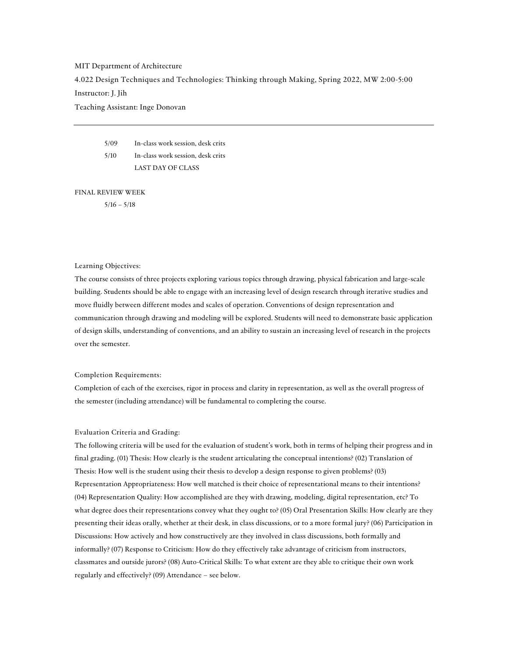### MIT Department of Architecture

4.022 Design Techniques and Technologies: Thinking through Making, Spring 2022, MW 2:00-5:00

## Instructor: J. Jih

Teaching Assistant: Inge Donovan

5/09 In-class work session, desk crits 5/10 In-class work session, desk crits LAST DAY OF CLASS

FINAL REVIEW WEEK

 $5/16 - 5/18$ 

## Learning Objectives:

The course consists of three projects exploring various topics through drawing, physical fabrication and large-scale building. Students should be able to engage with an increasing level of design research through iterative studies and move fluidly between different modes and scales of operation. Conventions of design representation and communication through drawing and modeling will be explored. Students will need to demonstrate basic application of design skills, understanding of conventions, and an ability to sustain an increasing level of research in the projects over the semester.

#### Completion Requirements:

Completion of each of the exercises, rigor in process and clarity in representation, as well as the overall progress of the semester (including attendance) will be fundamental to completing the course.

## Evaluation Criteria and Grading:

The following criteria will be used for the evaluation of student's work, both in terms of helping their progress and in final grading. (01) Thesis: How clearly is the student articulating the conceptual intentions? (02) Translation of Thesis: How well is the student using their thesis to develop a design response to given problems? (03) Representation Appropriateness: How well matched is their choice of representational means to their intentions? (04) Representation Quality: How accomplished are they with drawing, modeling, digital representation, etc? To what degree does their representations convey what they ought to? (05) Oral Presentation Skills: How clearly are they presenting their ideas orally, whether at their desk, in class discussions, or to a more formal jury? (06) Participation in Discussions: How actively and how constructively are they involved in class discussions, both formally and informally? (07) Response to Criticism: How do they effectively take advantage of criticism from instructors, classmates and outside jurors? (08) Auto-Critical Skills: To what extent are they able to critique their own work regularly and effectively? (09) Attendance – see below.